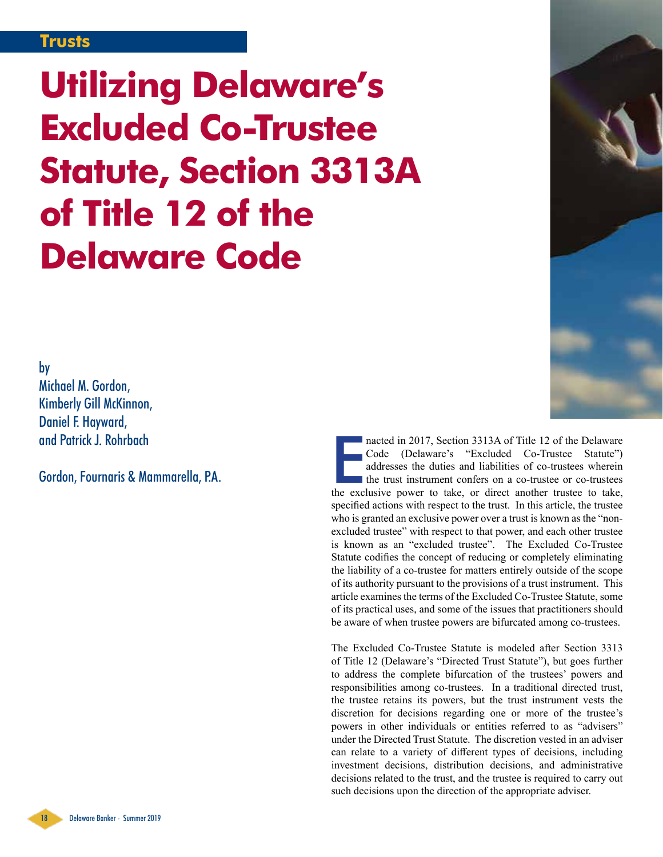## **Trusts**

**Utilizing Delaware's Excluded Co-Trustee Statute, Section 3313A of Title 12 of the Delaware Code**

by

Michael M. Gordon, Kimberly Gill McKinnon, Daniel F. Hayward, and Patrick J. Rohrbach

Gordon, Fournaris & Mammarella, P.A.

nacted in 2017, Section 3313A of Title 12 of the Delaware<br>Code (Delaware's "Excluded Co-Trustee Statute")<br>addresses the duties and liabilities of co-trustees wherein<br>the trust instrument confers on a co-trustee or co-trust nacted in 2017, Section 3313A of Title 12 of the Delaware Code (Delaware's "Excluded Co-Trustee Statute") addresses the duties and liabilities of co-trustees wherein the trust instrument confers on a co-trustee or co-trustees specified actions with respect to the trust. In this article, the trustee who is granted an exclusive power over a trust is known as the "nonexcluded trustee" with respect to that power, and each other trustee is known as an "excluded trustee". The Excluded Co-Trustee Statute codifies the concept of reducing or completely eliminating the liability of a co-trustee for matters entirely outside of the scope of its authority pursuant to the provisions of a trust instrument. This article examines the terms of the Excluded Co-Trustee Statute, some of its practical uses, and some of the issues that practitioners should be aware of when trustee powers are bifurcated among co-trustees.

The Excluded Co-Trustee Statute is modeled after Section 3313 of Title 12 (Delaware's "Directed Trust Statute"), but goes further to address the complete bifurcation of the trustees' powers and responsibilities among co-trustees. In a traditional directed trust, the trustee retains its powers, but the trust instrument vests the discretion for decisions regarding one or more of the trustee's powers in other individuals or entities referred to as "advisers" under the Directed Trust Statute. The discretion vested in an adviser can relate to a variety of different types of decisions, including investment decisions, distribution decisions, and administrative decisions related to the trust, and the trustee is required to carry out such decisions upon the direction of the appropriate adviser.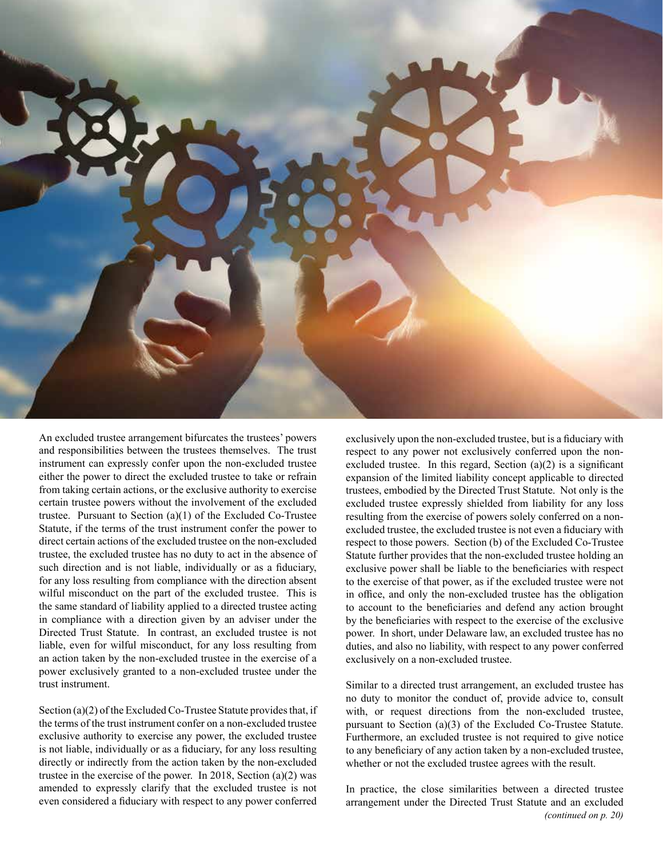

An excluded trustee arrangement bifurcates the trustees' powers and responsibilities between the trustees themselves. The trust instrument can expressly confer upon the non-excluded trustee either the power to direct the excluded trustee to take or refrain from taking certain actions, or the exclusive authority to exercise certain trustee powers without the involvement of the excluded trustee. Pursuant to Section (a)(1) of the Excluded Co-Trustee Statute, if the terms of the trust instrument confer the power to direct certain actions of the excluded trustee on the non-excluded trustee, the excluded trustee has no duty to act in the absence of such direction and is not liable, individually or as a fiduciary, for any loss resulting from compliance with the direction absent wilful misconduct on the part of the excluded trustee. This is the same standard of liability applied to a directed trustee acting in compliance with a direction given by an adviser under the Directed Trust Statute. In contrast, an excluded trustee is not liable, even for wilful misconduct, for any loss resulting from an action taken by the non-excluded trustee in the exercise of a power exclusively granted to a non-excluded trustee under the trust instrument.

Section (a)(2) of the Excluded Co-Trustee Statute provides that, if the terms of the trust instrument confer on a non-excluded trustee exclusive authority to exercise any power, the excluded trustee is not liable, individually or as a fiduciary, for any loss resulting directly or indirectly from the action taken by the non-excluded trustee in the exercise of the power. In 2018, Section (a)(2) was amended to expressly clarify that the excluded trustee is not even considered a fiduciary with respect to any power conferred exclusively upon the non-excluded trustee, but is a fiduciary with respect to any power not exclusively conferred upon the nonexcluded trustee. In this regard, Section (a)(2) is a significant expansion of the limited liability concept applicable to directed trustees, embodied by the Directed Trust Statute. Not only is the excluded trustee expressly shielded from liability for any loss resulting from the exercise of powers solely conferred on a nonexcluded trustee, the excluded trustee is not even a fiduciary with respect to those powers. Section (b) of the Excluded Co-Trustee Statute further provides that the non-excluded trustee holding an exclusive power shall be liable to the beneficiaries with respect to the exercise of that power, as if the excluded trustee were not in office, and only the non-excluded trustee has the obligation to account to the beneficiaries and defend any action brought by the beneficiaries with respect to the exercise of the exclusive power. In short, under Delaware law, an excluded trustee has no duties, and also no liability, with respect to any power conferred exclusively on a non-excluded trustee.

Similar to a directed trust arrangement, an excluded trustee has no duty to monitor the conduct of, provide advice to, consult with, or request directions from the non-excluded trustee, pursuant to Section (a)(3) of the Excluded Co-Trustee Statute. Furthermore, an excluded trustee is not required to give notice to any beneficiary of any action taken by a non-excluded trustee, whether or not the excluded trustee agrees with the result.

In practice, the close similarities between a directed trustee arrangement under the Directed Trust Statute and an excluded *(continued on p. 20)*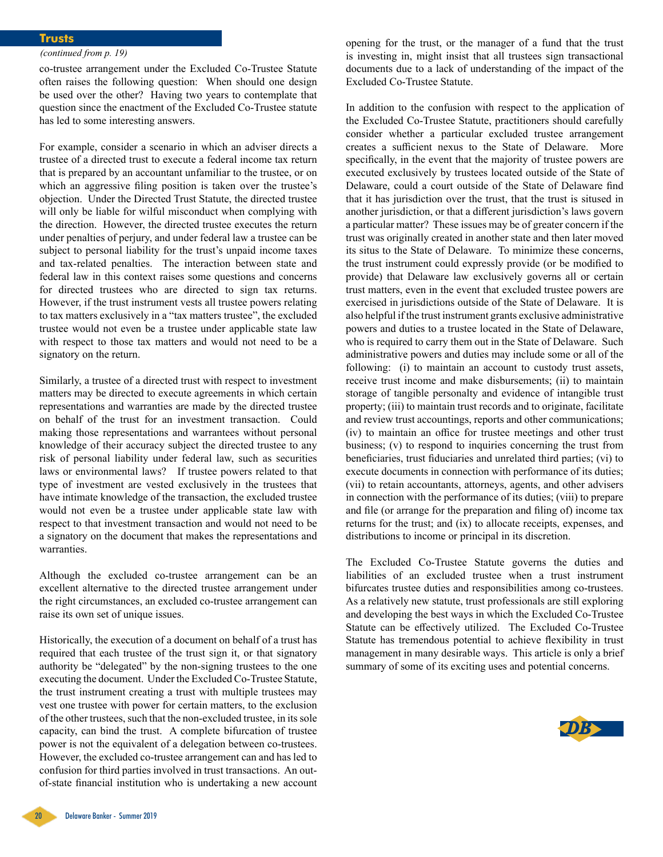## **Trusts**

## *(continued from p. 19)*

co-trustee arrangement under the Excluded Co-Trustee Statute often raises the following question: When should one design be used over the other? Having two years to contemplate that question since the enactment of the Excluded Co-Trustee statute has led to some interesting answers.

For example, consider a scenario in which an adviser directs a trustee of a directed trust to execute a federal income tax return that is prepared by an accountant unfamiliar to the trustee, or on which an aggressive filing position is taken over the trustee's objection. Under the Directed Trust Statute, the directed trustee will only be liable for wilful misconduct when complying with the direction. However, the directed trustee executes the return under penalties of perjury, and under federal law a trustee can be subject to personal liability for the trust's unpaid income taxes and tax-related penalties. The interaction between state and federal law in this context raises some questions and concerns for directed trustees who are directed to sign tax returns. However, if the trust instrument vests all trustee powers relating to tax matters exclusively in a "tax matters trustee", the excluded trustee would not even be a trustee under applicable state law with respect to those tax matters and would not need to be a signatory on the return.

Similarly, a trustee of a directed trust with respect to investment matters may be directed to execute agreements in which certain representations and warranties are made by the directed trustee on behalf of the trust for an investment transaction. Could making those representations and warrantees without personal knowledge of their accuracy subject the directed trustee to any risk of personal liability under federal law, such as securities laws or environmental laws? If trustee powers related to that type of investment are vested exclusively in the trustees that have intimate knowledge of the transaction, the excluded trustee would not even be a trustee under applicable state law with respect to that investment transaction and would not need to be a signatory on the document that makes the representations and warranties.

Although the excluded co-trustee arrangement can be an excellent alternative to the directed trustee arrangement under the right circumstances, an excluded co-trustee arrangement can raise its own set of unique issues.

Historically, the execution of a document on behalf of a trust has required that each trustee of the trust sign it, or that signatory authority be "delegated" by the non-signing trustees to the one executing the document. Under the Excluded Co-Trustee Statute, the trust instrument creating a trust with multiple trustees may vest one trustee with power for certain matters, to the exclusion of the other trustees, such that the non-excluded trustee, in its sole capacity, can bind the trust. A complete bifurcation of trustee power is not the equivalent of a delegation between co-trustees. However, the excluded co-trustee arrangement can and has led to confusion for third parties involved in trust transactions. An outof-state financial institution who is undertaking a new account

opening for the trust, or the manager of a fund that the trust is investing in, might insist that all trustees sign transactional documents due to a lack of understanding of the impact of the Excluded Co-Trustee Statute.

In addition to the confusion with respect to the application of the Excluded Co-Trustee Statute, practitioners should carefully consider whether a particular excluded trustee arrangement creates a sufficient nexus to the State of Delaware. More specifically, in the event that the majority of trustee powers are executed exclusively by trustees located outside of the State of Delaware, could a court outside of the State of Delaware find that it has jurisdiction over the trust, that the trust is sitused in another jurisdiction, or that a different jurisdiction's laws govern a particular matter? These issues may be of greater concern if the trust was originally created in another state and then later moved its situs to the State of Delaware. To minimize these concerns, the trust instrument could expressly provide (or be modified to provide) that Delaware law exclusively governs all or certain trust matters, even in the event that excluded trustee powers are exercised in jurisdictions outside of the State of Delaware. It is also helpful if the trust instrument grants exclusive administrative powers and duties to a trustee located in the State of Delaware, who is required to carry them out in the State of Delaware. Such administrative powers and duties may include some or all of the following: (i) to maintain an account to custody trust assets, receive trust income and make disbursements; (ii) to maintain storage of tangible personalty and evidence of intangible trust property; (iii) to maintain trust records and to originate, facilitate and review trust accountings, reports and other communications; (iv) to maintain an office for trustee meetings and other trust business; (v) to respond to inquiries concerning the trust from beneficiaries, trust fiduciaries and unrelated third parties; (vi) to execute documents in connection with performance of its duties; (vii) to retain accountants, attorneys, agents, and other advisers in connection with the performance of its duties; (viii) to prepare and file (or arrange for the preparation and filing of) income tax returns for the trust; and (ix) to allocate receipts, expenses, and distributions to income or principal in its discretion.

The Excluded Co-Trustee Statute governs the duties and liabilities of an excluded trustee when a trust instrument bifurcates trustee duties and responsibilities among co-trustees. As a relatively new statute, trust professionals are still exploring and developing the best ways in which the Excluded Co-Trustee Statute can be effectively utilized. The Excluded Co-Trustee Statute has tremendous potential to achieve flexibility in trust management in many desirable ways. This article is only a brief summary of some of its exciting uses and potential concerns.